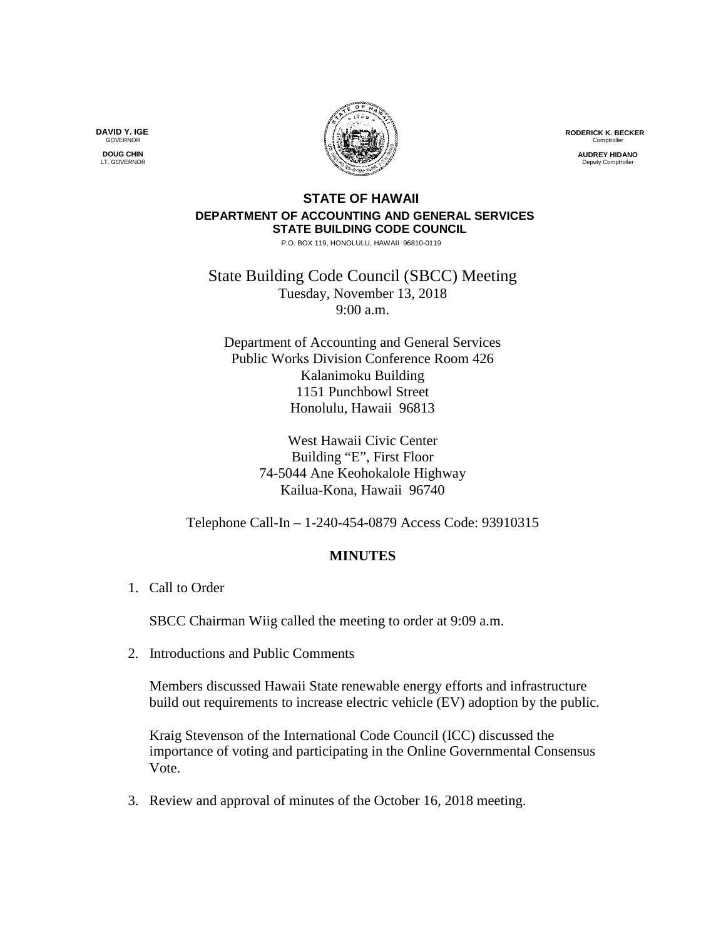**RODERICK K. BECKER** Comptrolle

> **AUDREY HIDANO Deputy Comptroller**

## **STATE OF HAWAII DEPARTMENT OF ACCOUNTING AND GENERAL SERVICES STATE BUILDING CODE COUNCIL**

P.O. BOX 119, HONOLULU, HAWAII 96810-0119

State Building Code Council (SBCC) Meeting Tuesday, November 13, 2018 9:00 a.m.

Department of Accounting and General Services Public Works Division Conference Room 426 Kalanimoku Building 1151 Punchbowl Street Honolulu, Hawaii 96813

> West Hawaii Civic Center Building "E", First Floor 74-5044 Ane Keohokalole Highway Kailua-Kona, Hawaii 96740

Telephone Call-In – 1-240-454-0879 Access Code: 93910315

## **MINUTES**

1. Call to Order

SBCC Chairman Wiig called the meeting to order at 9:09 a.m.

2. Introductions and Public Comments

Members discussed Hawaii State renewable energy efforts and infrastructure build out requirements to increase electric vehicle (EV) adoption by the public.

Kraig Stevenson of the International Code Council (ICC) discussed the importance of voting and participating in the Online Governmental Consensus Vote.

3. Review and approval of minutes of the October 16, 2018 meeting.

**DAVID Y. IGE GOVERNOR DOUG CHIN**

LT. GOVERNOR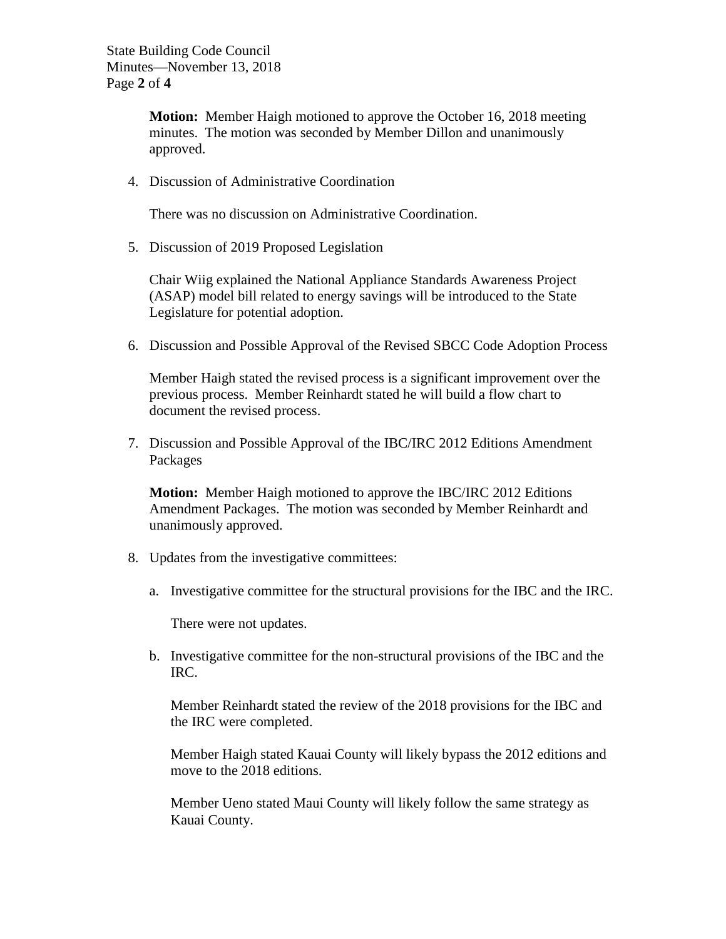**Motion:** Member Haigh motioned to approve the October 16, 2018 meeting minutes. The motion was seconded by Member Dillon and unanimously approved.

4. Discussion of Administrative Coordination

There was no discussion on Administrative Coordination.

5. Discussion of 2019 Proposed Legislation

Chair Wiig explained the National Appliance Standards Awareness Project (ASAP) model bill related to energy savings will be introduced to the State Legislature for potential adoption.

6. Discussion and Possible Approval of the Revised SBCC Code Adoption Process

Member Haigh stated the revised process is a significant improvement over the previous process. Member Reinhardt stated he will build a flow chart to document the revised process.

7. Discussion and Possible Approval of the IBC/IRC 2012 Editions Amendment Packages

**Motion:** Member Haigh motioned to approve the IBC/IRC 2012 Editions Amendment Packages. The motion was seconded by Member Reinhardt and unanimously approved.

- 8. Updates from the investigative committees:
	- a. Investigative committee for the structural provisions for the IBC and the IRC.

There were not updates.

b. Investigative committee for the non-structural provisions of the IBC and the IRC.

Member Reinhardt stated the review of the 2018 provisions for the IBC and the IRC were completed.

Member Haigh stated Kauai County will likely bypass the 2012 editions and move to the 2018 editions.

Member Ueno stated Maui County will likely follow the same strategy as Kauai County.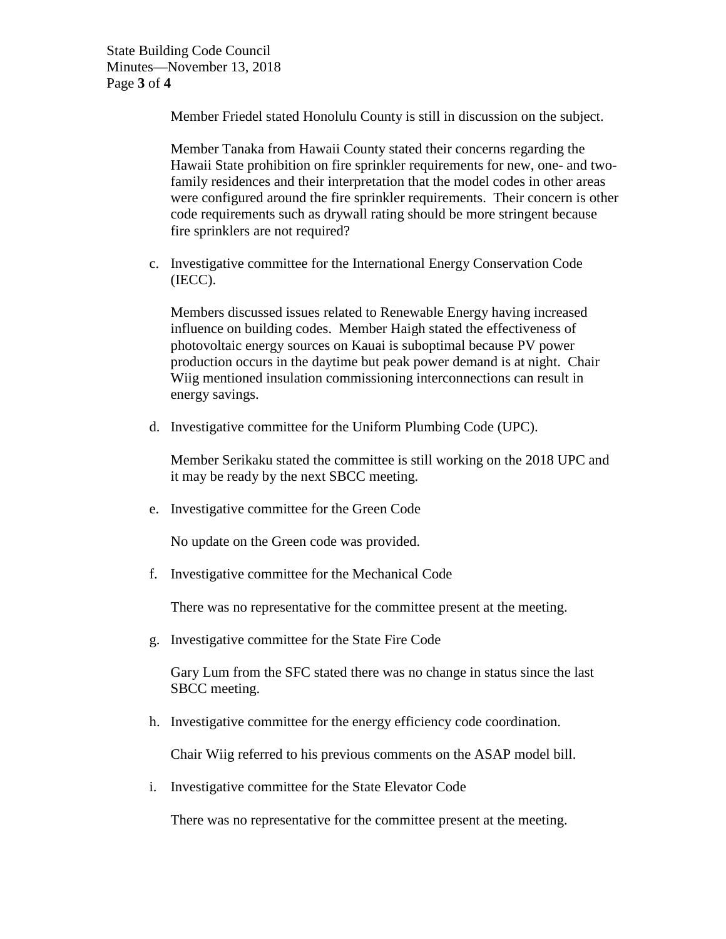Member Friedel stated Honolulu County is still in discussion on the subject.

Member Tanaka from Hawaii County stated their concerns regarding the Hawaii State prohibition on fire sprinkler requirements for new, one- and twofamily residences and their interpretation that the model codes in other areas were configured around the fire sprinkler requirements. Their concern is other code requirements such as drywall rating should be more stringent because fire sprinklers are not required?

c. Investigative committee for the International Energy Conservation Code (IECC).

Members discussed issues related to Renewable Energy having increased influence on building codes. Member Haigh stated the effectiveness of photovoltaic energy sources on Kauai is suboptimal because PV power production occurs in the daytime but peak power demand is at night. Chair Wiig mentioned insulation commissioning interconnections can result in energy savings.

d. Investigative committee for the Uniform Plumbing Code (UPC).

Member Serikaku stated the committee is still working on the 2018 UPC and it may be ready by the next SBCC meeting.

e. Investigative committee for the Green Code

No update on the Green code was provided.

f. Investigative committee for the Mechanical Code

There was no representative for the committee present at the meeting.

g. Investigative committee for the State Fire Code

Gary Lum from the SFC stated there was no change in status since the last SBCC meeting.

h. Investigative committee for the energy efficiency code coordination.

Chair Wiig referred to his previous comments on the ASAP model bill.

i. Investigative committee for the State Elevator Code

There was no representative for the committee present at the meeting.